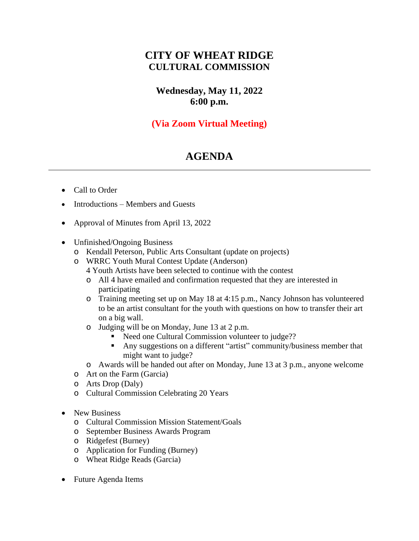## **CITY OF WHEAT RIDGE CULTURAL COMMISSION**

**Wednesday, May 11, 2022 6:00 p.m.**

## **(Via Zoom Virtual Meeting)**

## **AGENDA**

- Call to Order
- Introductions Members and Guests
- Approval of Minutes from April 13, 2022
- Unfinished/Ongoing Business
	- o Kendall Peterson, Public Arts Consultant (update on projects)
	- o WRRC Youth Mural Contest Update (Anderson)
		- 4 Youth Artists have been selected to continue with the contest
		- o All 4 have emailed and confirmation requested that they are interested in participating
		- o Training meeting set up on May 18 at 4:15 p.m., Nancy Johnson has volunteered to be an artist consultant for the youth with questions on how to transfer their art on a big wall.
		- o Judging will be on Monday, June 13 at 2 p.m.
			- Need one Cultural Commission volunteer to judge??
			- Any suggestions on a different "artist" community/business member that might want to judge?
		- o Awards will be handed out after on Monday, June 13 at 3 p.m., anyone welcome
	- o Art on the Farm (Garcia)
	- o Arts Drop (Daly)
	- o Cultural Commission Celebrating 20 Years
- New Business
	- o Cultural Commission Mission Statement/Goals
	- o September Business Awards Program
	- o Ridgefest (Burney)
	- o Application for Funding (Burney)
	- o Wheat Ridge Reads (Garcia)
- Future Agenda Items